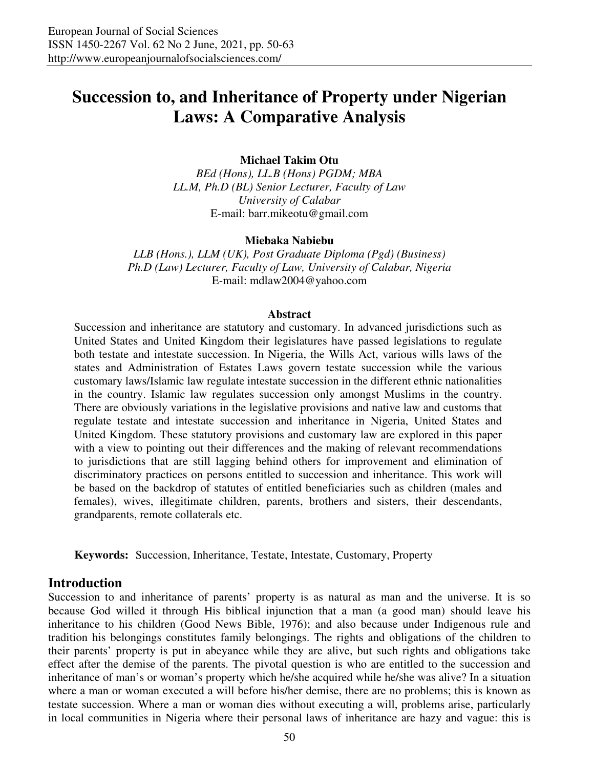# **Succession to, and Inheritance of Property under Nigerian Laws: A Comparative Analysis**

#### **Michael Takim Otu**

*BEd (Hons), LL.B (Hons) PGDM; MBA LL.M, Ph.D (BL) Senior Lecturer, Faculty of Law University of Calabar*  E-mail: barr.mikeotu@gmail.com

**Miebaka Nabiebu** 

*LLB (Hons.), LLM (UK), Post Graduate Diploma (Pgd) (Business) Ph.D (Law) Lecturer, Faculty of Law, University of Calabar, Nigeria*  E-mail: mdlaw2004@yahoo.com

#### **Abstract**

Succession and inheritance are statutory and customary. In advanced jurisdictions such as United States and United Kingdom their legislatures have passed legislations to regulate both testate and intestate succession. In Nigeria, the Wills Act, various wills laws of the states and Administration of Estates Laws govern testate succession while the various customary laws/Islamic law regulate intestate succession in the different ethnic nationalities in the country. Islamic law regulates succession only amongst Muslims in the country. There are obviously variations in the legislative provisions and native law and customs that regulate testate and intestate succession and inheritance in Nigeria, United States and United Kingdom. These statutory provisions and customary law are explored in this paper with a view to pointing out their differences and the making of relevant recommendations to jurisdictions that are still lagging behind others for improvement and elimination of discriminatory practices on persons entitled to succession and inheritance. This work will be based on the backdrop of statutes of entitled beneficiaries such as children (males and females), wives, illegitimate children, parents, brothers and sisters, their descendants, grandparents, remote collaterals etc.

**Keywords:** Succession, Inheritance, Testate, Intestate, Customary, Property

### **Introduction**

Succession to and inheritance of parents' property is as natural as man and the universe. It is so because God willed it through His biblical injunction that a man (a good man) should leave his inheritance to his children (Good News Bible, 1976); and also because under Indigenous rule and tradition his belongings constitutes family belongings. The rights and obligations of the children to their parents' property is put in abeyance while they are alive, but such rights and obligations take effect after the demise of the parents. The pivotal question is who are entitled to the succession and inheritance of man's or woman's property which he/she acquired while he/she was alive? In a situation where a man or woman executed a will before his/her demise, there are no problems; this is known as testate succession. Where a man or woman dies without executing a will, problems arise, particularly in local communities in Nigeria where their personal laws of inheritance are hazy and vague: this is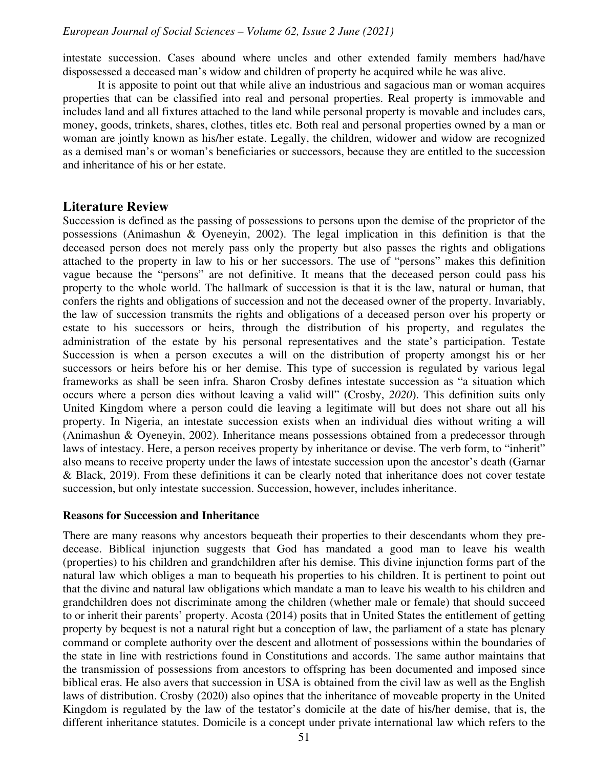intestate succession. Cases abound where uncles and other extended family members had/have dispossessed a deceased man's widow and children of property he acquired while he was alive.

It is apposite to point out that while alive an industrious and sagacious man or woman acquires properties that can be classified into real and personal properties. Real property is immovable and includes land and all fixtures attached to the land while personal property is movable and includes cars, money, goods, trinkets, shares, clothes, titles etc. Both real and personal properties owned by a man or woman are jointly known as his/her estate. Legally, the children, widower and widow are recognized as a demised man's or woman's beneficiaries or successors, because they are entitled to the succession and inheritance of his or her estate.

## **Literature Review**

Succession is defined as the passing of possessions to persons upon the demise of the proprietor of the possessions (Animashun & Oyeneyin, 2002). The legal implication in this definition is that the deceased person does not merely pass only the property but also passes the rights and obligations attached to the property in law to his or her successors. The use of "persons" makes this definition vague because the "persons" are not definitive. It means that the deceased person could pass his property to the whole world. The hallmark of succession is that it is the law, natural or human, that confers the rights and obligations of succession and not the deceased owner of the property. Invariably, the law of succession transmits the rights and obligations of a deceased person over his property or estate to his successors or heirs, through the distribution of his property, and regulates the administration of the estate by his personal representatives and the state's participation. Testate Succession is when a person executes a will on the distribution of property amongst his or her successors or heirs before his or her demise. This type of succession is regulated by various legal frameworks as shall be seen infra. Sharon Crosby defines intestate succession as "a situation which occurs where a person dies without leaving a valid will" (Crosby, *2020*). This definition suits only United Kingdom where a person could die leaving a legitimate will but does not share out all his property. In Nigeria, an intestate succession exists when an individual dies without writing a will (Animashun & Oyeneyin, 2002). Inheritance means possessions obtained from a predecessor through laws of intestacy. Here, a person receives property by inheritance or devise. The verb form, to "inherit" also means to receive property under the laws of intestate succession upon the ancestor's death (Garnar & Black, 2019). From these definitions it can be clearly noted that inheritance does not cover testate succession, but only intestate succession. Succession, however, includes inheritance.

#### **Reasons for Succession and Inheritance**

There are many reasons why ancestors bequeath their properties to their descendants whom they predecease. Biblical injunction suggests that God has mandated a good man to leave his wealth (properties) to his children and grandchildren after his demise. This divine injunction forms part of the natural law which obliges a man to bequeath his properties to his children. It is pertinent to point out that the divine and natural law obligations which mandate a man to leave his wealth to his children and grandchildren does not discriminate among the children (whether male or female) that should succeed to or inherit their parents' property. Acosta (2014) posits that in United States the entitlement of getting property by bequest is not a natural right but a conception of law, the parliament of a state has plenary command or complete authority over the descent and allotment of possessions within the boundaries of the state in line with restrictions found in Constitutions and accords. The same author maintains that the transmission of possessions from ancestors to offspring has been documented and imposed since biblical eras. He also avers that succession in USA is obtained from the civil law as well as the English laws of distribution. Crosby (2020) also opines that the inheritance of moveable property in the United Kingdom is regulated by the law of the testator's domicile at the date of his/her demise, that is, the different inheritance statutes. Domicile is a concept under private international law which refers to the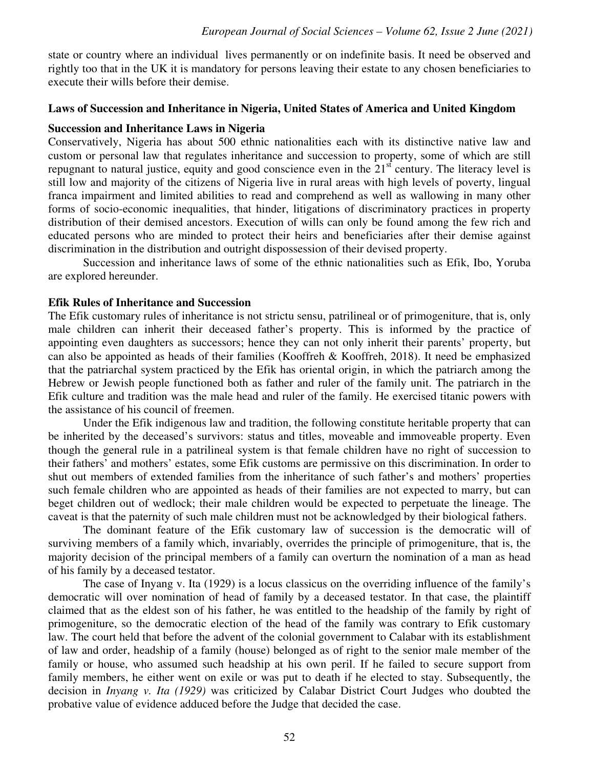state or country where an individual lives permanently or on indefinite basis. It need be observed and rightly too that in the UK it is mandatory for persons leaving their estate to any chosen beneficiaries to execute their wills before their demise.

#### **Laws of Succession and Inheritance in Nigeria, United States of America and United Kingdom**

#### **Succession and Inheritance Laws in Nigeria**

Conservatively, Nigeria has about 500 ethnic nationalities each with its distinctive native law and custom or personal law that regulates inheritance and succession to property, some of which are still repugnant to natural justice, equity and good conscience even in the  $21<sup>st</sup>$  century. The literacy level is still low and majority of the citizens of Nigeria live in rural areas with high levels of poverty, lingual franca impairment and limited abilities to read and comprehend as well as wallowing in many other forms of socio-economic inequalities, that hinder, litigations of discriminatory practices in property distribution of their demised ancestors. Execution of wills can only be found among the few rich and educated persons who are minded to protect their heirs and beneficiaries after their demise against discrimination in the distribution and outright dispossession of their devised property.

Succession and inheritance laws of some of the ethnic nationalities such as Efik, Ibo, Yoruba are explored hereunder.

#### **Efik Rules of Inheritance and Succession**

The Efik customary rules of inheritance is not strictu sensu, patrilineal or of primogeniture, that is, only male children can inherit their deceased father's property. This is informed by the practice of appointing even daughters as successors; hence they can not only inherit their parents' property, but can also be appointed as heads of their families (Kooffreh & Kooffreh, 2018). It need be emphasized that the patriarchal system practiced by the Efik has oriental origin, in which the patriarch among the Hebrew or Jewish people functioned both as father and ruler of the family unit. The patriarch in the Efik culture and tradition was the male head and ruler of the family. He exercised titanic powers with the assistance of his council of freemen.

Under the Efik indigenous law and tradition, the following constitute heritable property that can be inherited by the deceased's survivors: status and titles, moveable and immoveable property. Even though the general rule in a patrilineal system is that female children have no right of succession to their fathers' and mothers' estates, some Efik customs are permissive on this discrimination. In order to shut out members of extended families from the inheritance of such father's and mothers' properties such female children who are appointed as heads of their families are not expected to marry, but can beget children out of wedlock; their male children would be expected to perpetuate the lineage. The caveat is that the paternity of such male children must not be acknowledged by their biological fathers.

The dominant feature of the Efik customary law of succession is the democratic will of surviving members of a family which, invariably, overrides the principle of primogeniture, that is, the majority decision of the principal members of a family can overturn the nomination of a man as head of his family by a deceased testator.

The case of Inyang v. Ita (1929) is a locus classicus on the overriding influence of the family's democratic will over nomination of head of family by a deceased testator. In that case, the plaintiff claimed that as the eldest son of his father, he was entitled to the headship of the family by right of primogeniture, so the democratic election of the head of the family was contrary to Efik customary law. The court held that before the advent of the colonial government to Calabar with its establishment of law and order, headship of a family (house) belonged as of right to the senior male member of the family or house, who assumed such headship at his own peril. If he failed to secure support from family members, he either went on exile or was put to death if he elected to stay. Subsequently, the decision in *Inyang v. Ita (1929)* was criticized by Calabar District Court Judges who doubted the probative value of evidence adduced before the Judge that decided the case.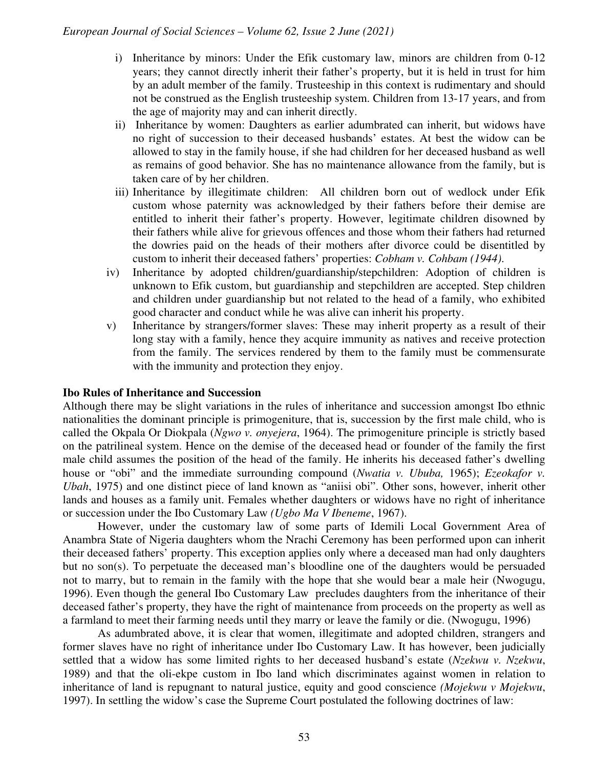- i) Inheritance by minors: Under the Efik customary law, minors are children from 0-12 years; they cannot directly inherit their father's property, but it is held in trust for him by an adult member of the family. Trusteeship in this context is rudimentary and should not be construed as the English trusteeship system. Children from 13-17 years, and from the age of majority may and can inherit directly.
- ii) Inheritance by women: Daughters as earlier adumbrated can inherit, but widows have no right of succession to their deceased husbands' estates. At best the widow can be allowed to stay in the family house, if she had children for her deceased husband as well as remains of good behavior. She has no maintenance allowance from the family, but is taken care of by her children.
- iii) Inheritance by illegitimate children: All children born out of wedlock under Efik custom whose paternity was acknowledged by their fathers before their demise are entitled to inherit their father's property. However, legitimate children disowned by their fathers while alive for grievous offences and those whom their fathers had returned the dowries paid on the heads of their mothers after divorce could be disentitled by custom to inherit their deceased fathers' properties: *Cobham v. Cohbam (1944)*.
- iv) Inheritance by adopted children/guardianship/stepchildren: Adoption of children is unknown to Efik custom, but guardianship and stepchildren are accepted. Step children and children under guardianship but not related to the head of a family, who exhibited good character and conduct while he was alive can inherit his property.
- v) Inheritance by strangers/former slaves: These may inherit property as a result of their long stay with a family, hence they acquire immunity as natives and receive protection from the family. The services rendered by them to the family must be commensurate with the immunity and protection they enjoy.

#### **Ibo Rules of Inheritance and Succession**

Although there may be slight variations in the rules of inheritance and succession amongst Ibo ethnic nationalities the dominant principle is primogeniture, that is, succession by the first male child, who is called the Okpala Or Diokpala (*Ngwo v. onyejera*, 1964). The primogeniture principle is strictly based on the patrilineal system. Hence on the demise of the deceased head or founder of the family the first male child assumes the position of the head of the family. He inherits his deceased father's dwelling house or "obi" and the immediate surrounding compound (*Nwatia v. Ububa,* 1965); *Ezeokafor v. Ubah*, 1975) and one distinct piece of land known as "aniisi obi". Other sons, however, inherit other lands and houses as a family unit. Females whether daughters or widows have no right of inheritance or succession under the Ibo Customary Law *(Ugbo Ma V Ibeneme*, 1967).

However, under the customary law of some parts of Idemili Local Government Area of Anambra State of Nigeria daughters whom the Nrachi Ceremony has been performed upon can inherit their deceased fathers' property. This exception applies only where a deceased man had only daughters but no son(s). To perpetuate the deceased man's bloodline one of the daughters would be persuaded not to marry, but to remain in the family with the hope that she would bear a male heir (Nwogugu, 1996). Even though the general Ibo Customary Law precludes daughters from the inheritance of their deceased father's property, they have the right of maintenance from proceeds on the property as well as a farmland to meet their farming needs until they marry or leave the family or die. (Nwogugu, 1996)

As adumbrated above, it is clear that women, illegitimate and adopted children, strangers and former slaves have no right of inheritance under Ibo Customary Law. It has however, been judicially settled that a widow has some limited rights to her deceased husband's estate (*Nzekwu v. Nzekwu*, 1989) and that the oli-ekpe custom in Ibo land which discriminates against women in relation to inheritance of land is repugnant to natural justice, equity and good conscience *(Mojekwu v Mojekwu*, 1997). In settling the widow's case the Supreme Court postulated the following doctrines of law: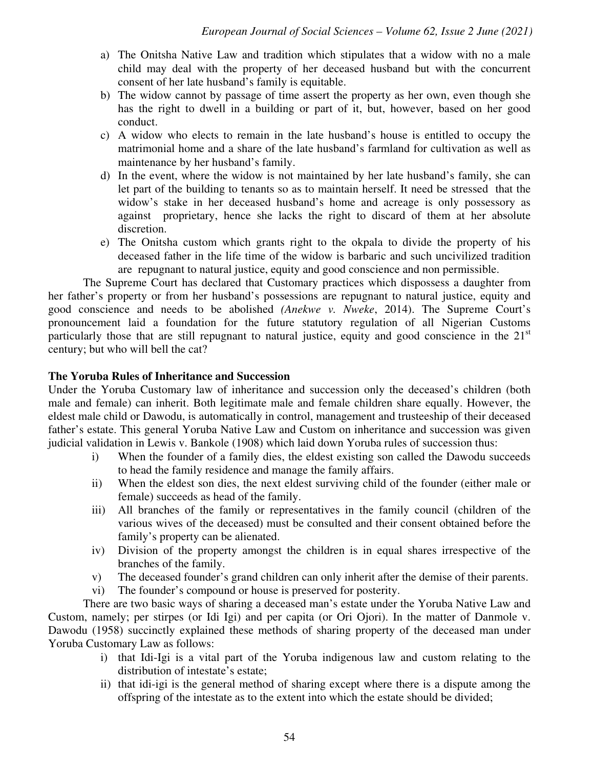- a) The Onitsha Native Law and tradition which stipulates that a widow with no a male child may deal with the property of her deceased husband but with the concurrent consent of her late husband's family is equitable.
- b) The widow cannot by passage of time assert the property as her own, even though she has the right to dwell in a building or part of it, but, however, based on her good conduct.
- c) A widow who elects to remain in the late husband's house is entitled to occupy the matrimonial home and a share of the late husband's farmland for cultivation as well as maintenance by her husband's family.
- d) In the event, where the widow is not maintained by her late husband's family, she can let part of the building to tenants so as to maintain herself. It need be stressed that the widow's stake in her deceased husband's home and acreage is only possessory as against proprietary, hence she lacks the right to discard of them at her absolute discretion.
- e) The Onitsha custom which grants right to the okpala to divide the property of his deceased father in the life time of the widow is barbaric and such uncivilized tradition are repugnant to natural justice, equity and good conscience and non permissible.

The Supreme Court has declared that Customary practices which dispossess a daughter from her father's property or from her husband's possessions are repugnant to natural justice, equity and good conscience and needs to be abolished *(Anekwe v. Nweke*, 2014). The Supreme Court's pronouncement laid a foundation for the future statutory regulation of all Nigerian Customs particularly those that are still repugnant to natural justice, equity and good conscience in the  $21<sup>st</sup>$ century; but who will bell the cat?

## **The Yoruba Rules of Inheritance and Succession**

Under the Yoruba Customary law of inheritance and succession only the deceased's children (both male and female) can inherit. Both legitimate male and female children share equally. However, the eldest male child or Dawodu, is automatically in control, management and trusteeship of their deceased father's estate. This general Yoruba Native Law and Custom on inheritance and succession was given judicial validation in Lewis v. Bankole (1908) which laid down Yoruba rules of succession thus:

- i) When the founder of a family dies, the eldest existing son called the Dawodu succeeds to head the family residence and manage the family affairs.
- ii) When the eldest son dies, the next eldest surviving child of the founder (either male or female) succeeds as head of the family.
- iii) All branches of the family or representatives in the family council (children of the various wives of the deceased) must be consulted and their consent obtained before the family's property can be alienated.
- iv) Division of the property amongst the children is in equal shares irrespective of the branches of the family.
- v) The deceased founder's grand children can only inherit after the demise of their parents.
- vi) The founder's compound or house is preserved for posterity.

There are two basic ways of sharing a deceased man's estate under the Yoruba Native Law and Custom, namely; per stirpes (or Idi Igi) and per capita (or Ori Ojori). In the matter of Danmole v. Dawodu (1958) succinctly explained these methods of sharing property of the deceased man under Yoruba Customary Law as follows:

- i) that Idi-Igi is a vital part of the Yoruba indigenous law and custom relating to the distribution of intestate's estate;
- ii) that idi-igi is the general method of sharing except where there is a dispute among the offspring of the intestate as to the extent into which the estate should be divided;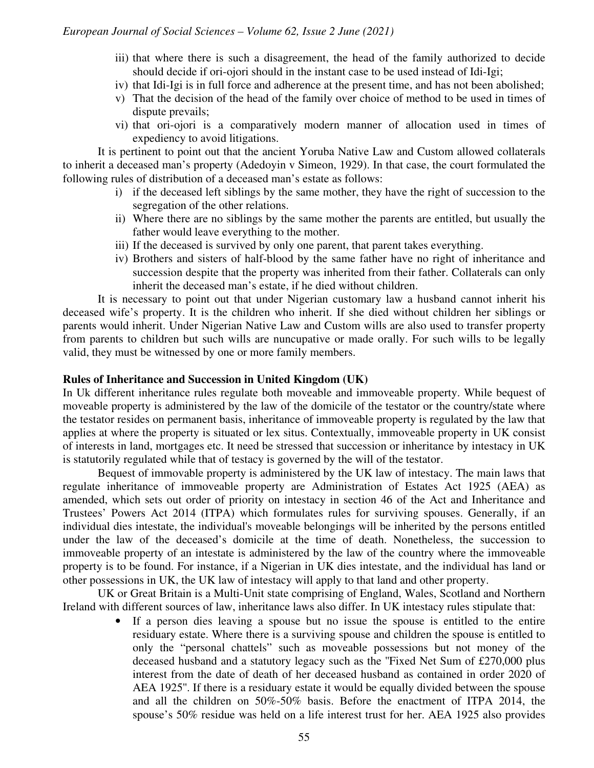- iii) that where there is such a disagreement, the head of the family authorized to decide should decide if ori-ojori should in the instant case to be used instead of Idi-Igi;
- iv) that Idi-Igi is in full force and adherence at the present time, and has not been abolished;
- v) That the decision of the head of the family over choice of method to be used in times of dispute prevails;
- vi) that ori-ojori is a comparatively modern manner of allocation used in times of expediency to avoid litigations.

It is pertinent to point out that the ancient Yoruba Native Law and Custom allowed collaterals to inherit a deceased man's property (Adedoyin v Simeon, 1929). In that case, the court formulated the following rules of distribution of a deceased man's estate as follows:

- i) if the deceased left siblings by the same mother, they have the right of succession to the segregation of the other relations.
- ii) Where there are no siblings by the same mother the parents are entitled, but usually the father would leave everything to the mother.
- iii) If the deceased is survived by only one parent, that parent takes everything.
- iv) Brothers and sisters of half-blood by the same father have no right of inheritance and succession despite that the property was inherited from their father. Collaterals can only inherit the deceased man's estate, if he died without children.

It is necessary to point out that under Nigerian customary law a husband cannot inherit his deceased wife's property. It is the children who inherit. If she died without children her siblings or parents would inherit. Under Nigerian Native Law and Custom wills are also used to transfer property from parents to children but such wills are nuncupative or made orally. For such wills to be legally valid, they must be witnessed by one or more family members.

#### **Rules of Inheritance and Succession in United Kingdom (UK)**

In Uk different inheritance rules regulate both moveable and immoveable property. While bequest of moveable property is administered by the law of the domicile of the testator or the country/state where the testator resides on permanent basis, inheritance of immoveable property is regulated by the law that applies at where the property is situated or lex situs. Contextually, immoveable property in UK consist of interests in land, mortgages etc. It need be stressed that succession or inheritance by intestacy in UK is statutorily regulated while that of testacy is governed by the will of the testator.

Bequest of immovable property is administered by the UK law of intestacy. The main laws that regulate inheritance of immoveable property are Administration of Estates Act 1925 (AEA) as amended, which sets out order of priority on intestacy in section 46 of the Act and Inheritance and Trustees' Powers Act 2014 (ITPA) which formulates rules for surviving spouses. Generally, if an individual dies intestate, the individual's moveable belongings will be inherited by the persons entitled under the law of the deceased's domicile at the time of death. Nonetheless, the succession to immoveable property of an intestate is administered by the law of the country where the immoveable property is to be found. For instance, if a Nigerian in UK dies intestate, and the individual has land or other possessions in UK, the UK law of intestacy will apply to that land and other property.

UK or Great Britain is a Multi-Unit state comprising of England, Wales, Scotland and Northern Ireland with different sources of law, inheritance laws also differ. In UK intestacy rules stipulate that:

> • If a person dies leaving a spouse but no issue the spouse is entitled to the entire residuary estate. Where there is a surviving spouse and children the spouse is entitled to only the "personal chattels" such as moveable possessions but not money of the deceased husband and a statutory legacy such as the ''Fixed Net Sum of £270,000 plus interest from the date of death of her deceased husband as contained in order 2020 of AEA 1925''. If there is a residuary estate it would be equally divided between the spouse and all the children on 50%-50% basis. Before the enactment of ITPA 2014, the spouse's 50% residue was held on a life interest trust for her. AEA 1925 also provides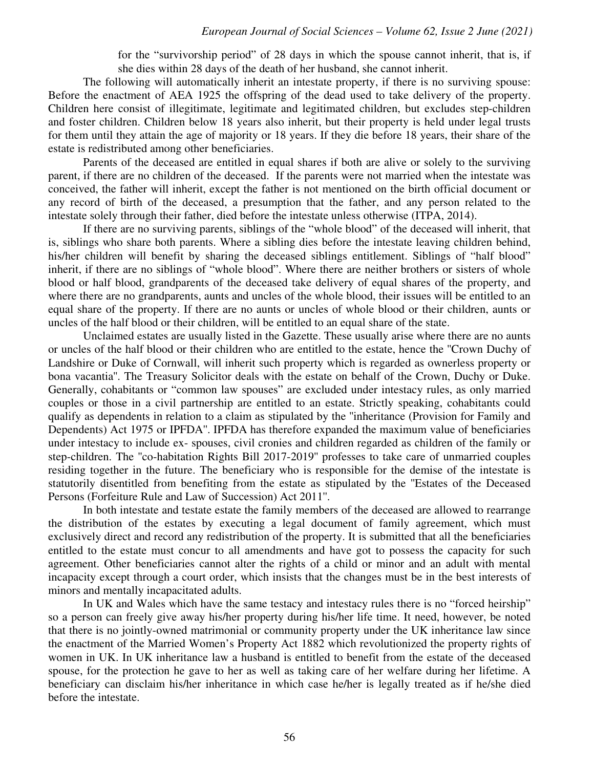for the "survivorship period" of 28 days in which the spouse cannot inherit, that is, if she dies within 28 days of the death of her husband, she cannot inherit.

The following will automatically inherit an intestate property, if there is no surviving spouse: Before the enactment of AEA 1925 the offspring of the dead used to take delivery of the property. Children here consist of illegitimate, legitimate and legitimated children, but excludes step-children and foster children. Children below 18 years also inherit, but their property is held under legal trusts for them until they attain the age of majority or 18 years. If they die before 18 years, their share of the estate is redistributed among other beneficiaries.

Parents of the deceased are entitled in equal shares if both are alive or solely to the surviving parent, if there are no children of the deceased. If the parents were not married when the intestate was conceived, the father will inherit, except the father is not mentioned on the birth official document or any record of birth of the deceased, a presumption that the father, and any person related to the intestate solely through their father, died before the intestate unless otherwise (ITPA, 2014).

If there are no surviving parents, siblings of the "whole blood" of the deceased will inherit, that is, siblings who share both parents. Where a sibling dies before the intestate leaving children behind, his/her children will benefit by sharing the deceased siblings entitlement. Siblings of "half blood" inherit, if there are no siblings of "whole blood". Where there are neither brothers or sisters of whole blood or half blood, grandparents of the deceased take delivery of equal shares of the property, and where there are no grandparents, aunts and uncles of the whole blood, their issues will be entitled to an equal share of the property. If there are no aunts or uncles of whole blood or their children, aunts or uncles of the half blood or their children, will be entitled to an equal share of the state.

Unclaimed estates are usually listed in the Gazette. These usually arise where there are no aunts or uncles of the half blood or their children who are entitled to the estate, hence the ''Crown Duchy of Landshire or Duke of Cornwall, will inherit such property which is regarded as ownerless property or bona vacantia''. The Treasury Solicitor deals with the estate on behalf of the Crown, Duchy or Duke. Generally, cohabitants or "common law spouses" are excluded under intestacy rules, as only married couples or those in a civil partnership are entitled to an estate. Strictly speaking, cohabitants could qualify as dependents in relation to a claim as stipulated by the ''inheritance (Provision for Family and Dependents) Act 1975 or IPFDA''. IPFDA has therefore expanded the maximum value of beneficiaries under intestacy to include ex- spouses, civil cronies and children regarded as children of the family or step-children. The ''co-habitation Rights Bill 2017-2019'' professes to take care of unmarried couples residing together in the future. The beneficiary who is responsible for the demise of the intestate is statutorily disentitled from benefiting from the estate as stipulated by the ''Estates of the Deceased Persons (Forfeiture Rule and Law of Succession) Act 2011''.

In both intestate and testate estate the family members of the deceased are allowed to rearrange the distribution of the estates by executing a legal document of family agreement, which must exclusively direct and record any redistribution of the property. It is submitted that all the beneficiaries entitled to the estate must concur to all amendments and have got to possess the capacity for such agreement. Other beneficiaries cannot alter the rights of a child or minor and an adult with mental incapacity except through a court order, which insists that the changes must be in the best interests of minors and mentally incapacitated adults.

In UK and Wales which have the same testacy and intestacy rules there is no "forced heirship" so a person can freely give away his/her property during his/her life time. It need, however, be noted that there is no jointly-owned matrimonial or community property under the UK inheritance law since the enactment of the Married Women's Property Act 1882 which revolutionized the property rights of women in UK. In UK inheritance law a husband is entitled to benefit from the estate of the deceased spouse, for the protection he gave to her as well as taking care of her welfare during her lifetime. A beneficiary can disclaim his/her inheritance in which case he/her is legally treated as if he/she died before the intestate.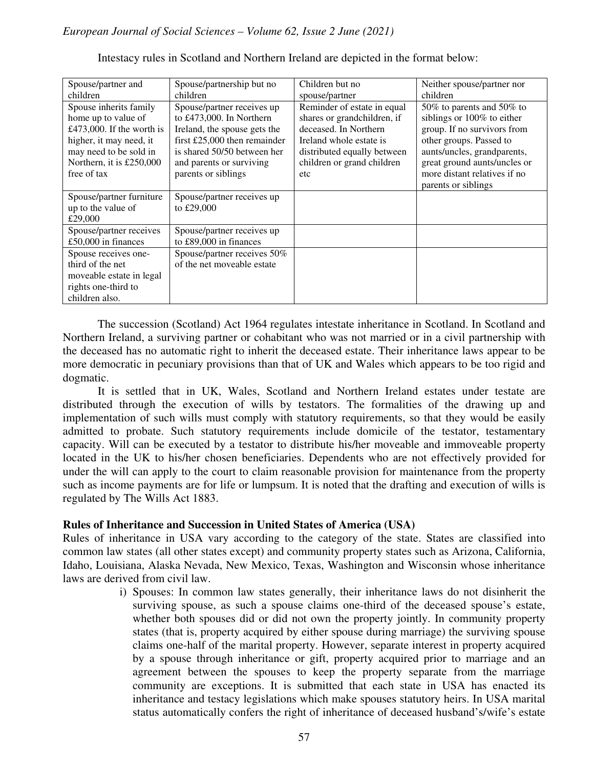| Spouse/partner and        | Spouse/partnership but no      | Children but no             | Neither spouse/partner nor   |
|---------------------------|--------------------------------|-----------------------------|------------------------------|
| children                  | children                       | spouse/partner              | children                     |
| Spouse inherits family    | Spouse/partner receives up     | Reminder of estate in equal | 50% to parents and 50% to    |
| home up to value of       | to £473,000. In Northern       | shares or grandchildren, if | siblings or 100% to either   |
| £473,000. If the worth is | Ireland, the spouse gets the   | deceased. In Northern       | group. If no survivors from  |
| higher, it may need, it   | first $£25,000$ then remainder | Ireland whole estate is     | other groups. Passed to      |
| may need to be sold in    | is shared 50/50 between her    | distributed equally between | aunts/uncles, grandparents,  |
| Northern, it is £250,000  | and parents or surviving       | children or grand children  | great ground aunts/uncles or |
| free of tax               | parents or siblings            | etc                         | more distant relatives if no |
|                           |                                |                             | parents or siblings          |
| Spouse/partner furniture  | Spouse/partner receives up     |                             |                              |
| up to the value of        | to £29,000                     |                             |                              |
| £29,000                   |                                |                             |                              |
| Spouse/partner receives   | Spouse/partner receives up     |                             |                              |
| £50,000 in finances       | to £89,000 in finances         |                             |                              |
| Spouse receives one-      | Spouse/partner receives 50%    |                             |                              |
| third of the net          | of the net moveable estate     |                             |                              |
| moveable estate in legal  |                                |                             |                              |
| rights one-third to       |                                |                             |                              |
| children also.            |                                |                             |                              |

Intestacy rules in Scotland and Northern Ireland are depicted in the format below:

The succession (Scotland) Act 1964 regulates intestate inheritance in Scotland. In Scotland and Northern Ireland, a surviving partner or cohabitant who was not married or in a civil partnership with the deceased has no automatic right to inherit the deceased estate. Their inheritance laws appear to be more democratic in pecuniary provisions than that of UK and Wales which appears to be too rigid and dogmatic.

It is settled that in UK, Wales, Scotland and Northern Ireland estates under testate are distributed through the execution of wills by testators. The formalities of the drawing up and implementation of such wills must comply with statutory requirements, so that they would be easily admitted to probate. Such statutory requirements include domicile of the testator, testamentary capacity. Will can be executed by a testator to distribute his/her moveable and immoveable property located in the UK to his/her chosen beneficiaries. Dependents who are not effectively provided for under the will can apply to the court to claim reasonable provision for maintenance from the property such as income payments are for life or lumpsum. It is noted that the drafting and execution of wills is regulated by The Wills Act 1883.

#### **Rules of Inheritance and Succession in United States of America (USA)**

Rules of inheritance in USA vary according to the category of the state. States are classified into common law states (all other states except) and community property states such as Arizona, California, Idaho, Louisiana, Alaska Nevada, New Mexico, Texas, Washington and Wisconsin whose inheritance laws are derived from civil law.

> i) Spouses: In common law states generally, their inheritance laws do not disinherit the surviving spouse, as such a spouse claims one-third of the deceased spouse's estate, whether both spouses did or did not own the property jointly. In community property states (that is, property acquired by either spouse during marriage) the surviving spouse claims one-half of the marital property. However, separate interest in property acquired by a spouse through inheritance or gift, property acquired prior to marriage and an agreement between the spouses to keep the property separate from the marriage community are exceptions. It is submitted that each state in USA has enacted its inheritance and testacy legislations which make spouses statutory heirs. In USA marital status automatically confers the right of inheritance of deceased husband's/wife's estate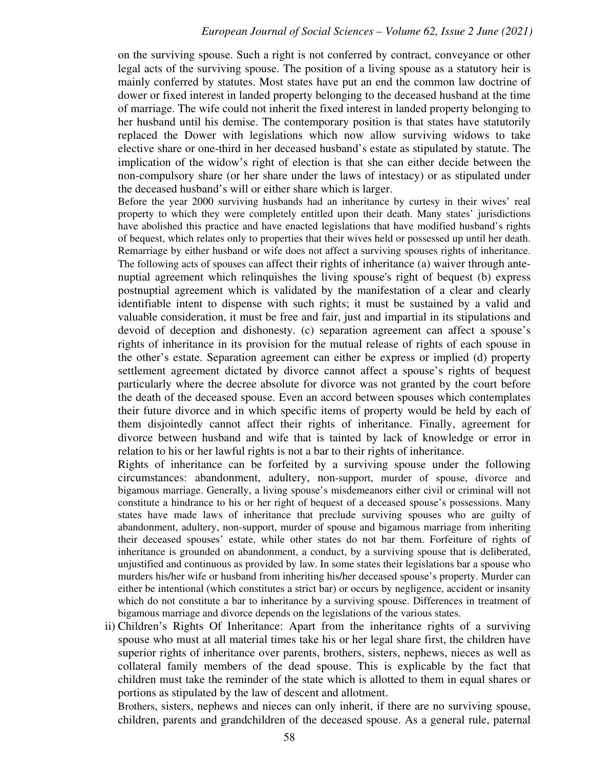on the surviving spouse. Such a right is not conferred by contract, conveyance or other legal acts of the surviving spouse. The position of a living spouse as a statutory heir is mainly conferred by statutes. Most states have put an end the common law doctrine of dower or fixed interest in landed property belonging to the deceased husband at the time of marriage. The wife could not inherit the fixed interest in landed property belonging to her husband until his demise. The contemporary position is that states have statutorily replaced the Dower with legislations which now allow surviving widows to take elective share or one-third in her deceased husband's estate as stipulated by statute. The implication of the widow's right of election is that she can either decide between the non-compulsory share (or her share under the laws of intestacy) or as stipulated under the deceased husband's will or either share which is larger.

Before the year 2000 surviving husbands had an inheritance by curtesy in their wives' real property to which they were completely entitled upon their death. Many states' jurisdictions have abolished this practice and have enacted legislations that have modified husband's rights of bequest, which relates only to properties that their wives held or possessed up until her death. Remarriage by either husband or wife does not affect a surviving spouses rights of inheritance. The following acts of spouses can affect their rights of inheritance (a) waiver through antenuptial agreement which relinquishes the living spouse's right of bequest (b) express postnuptial agreement which is validated by the manifestation of a clear and clearly identifiable intent to dispense with such rights; it must be sustained by a valid and valuable consideration, it must be free and fair, just and impartial in its stipulations and devoid of deception and dishonesty. (c) separation agreement can affect a spouse's rights of inheritance in its provision for the mutual release of rights of each spouse in the other's estate. Separation agreement can either be express or implied (d) property settlement agreement dictated by divorce cannot affect a spouse's rights of bequest particularly where the decree absolute for divorce was not granted by the court before the death of the deceased spouse. Even an accord between spouses which contemplates their future divorce and in which specific items of property would be held by each of them disjointedly cannot affect their rights of inheritance. Finally, agreement for divorce between husband and wife that is tainted by lack of knowledge or error in relation to his or her lawful rights is not a bar to their rights of inheritance.

Rights of inheritance can be forfeited by a surviving spouse under the following circumstances: abandonment, adultery, non-support, murder of spouse, divorce and bigamous marriage. Generally, a living spouse's misdemeanors either civil or criminal will not constitute a hindrance to his or her right of bequest of a deceased spouse's possessions. Many states have made laws of inheritance that preclude surviving spouses who are guilty of abandonment, adultery, non-support, murder of spouse and bigamous marriage from inheriting their deceased spouses' estate, while other states do not bar them. Forfeiture of rights of inheritance is grounded on abandonment, a conduct, by a surviving spouse that is deliberated, unjustified and continuous as provided by law. In some states their legislations bar a spouse who murders his/her wife or husband from inheriting his/her deceased spouse's property. Murder can either be intentional (which constitutes a strict bar) or occurs by negligence, accident or insanity which do not constitute a bar to inheritance by a surviving spouse. Differences in treatment of bigamous marriage and divorce depends on the legislations of the various states.

ii) Children's Rights Of Inheritance: Apart from the inheritance rights of a surviving spouse who must at all material times take his or her legal share first, the children have superior rights of inheritance over parents, brothers, sisters, nephews, nieces as well as collateral family members of the dead spouse. This is explicable by the fact that children must take the reminder of the state which is allotted to them in equal shares or portions as stipulated by the law of descent and allotment.

Brothers, sisters, nephews and nieces can only inherit, if there are no surviving spouse, children, parents and grandchildren of the deceased spouse. As a general rule, paternal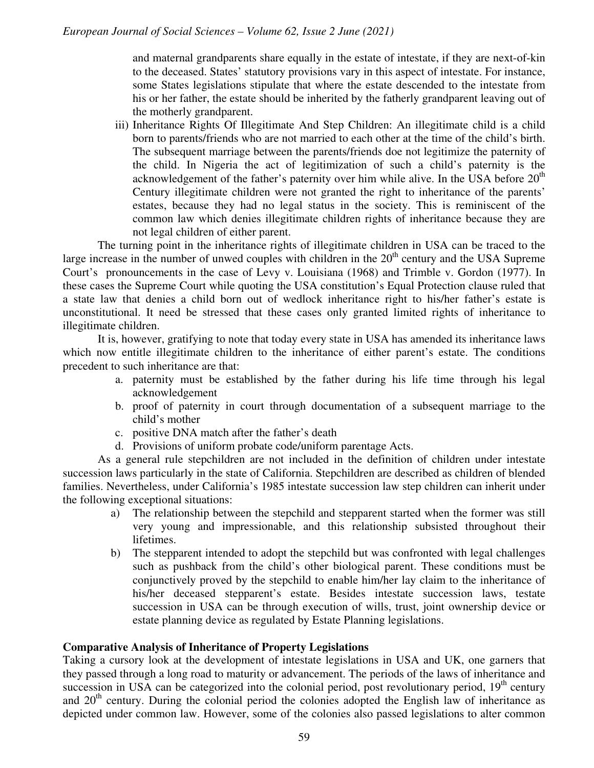and maternal grandparents share equally in the estate of intestate, if they are next-of-kin to the deceased. States' statutory provisions vary in this aspect of intestate. For instance, some States legislations stipulate that where the estate descended to the intestate from his or her father, the estate should be inherited by the fatherly grandparent leaving out of the motherly grandparent.

iii) Inheritance Rights Of Illegitimate And Step Children: An illegitimate child is a child born to parents/friends who are not married to each other at the time of the child's birth. The subsequent marriage between the parents/friends doe not legitimize the paternity of the child. In Nigeria the act of legitimization of such a child's paternity is the acknowledgement of the father's paternity over him while alive. In the USA before  $20<sup>th</sup>$ Century illegitimate children were not granted the right to inheritance of the parents' estates, because they had no legal status in the society. This is reminiscent of the common law which denies illegitimate children rights of inheritance because they are not legal children of either parent.

The turning point in the inheritance rights of illegitimate children in USA can be traced to the large increase in the number of unwed couples with children in the  $20<sup>th</sup>$  century and the USA Supreme Court's pronouncements in the case of Levy v. Louisiana (1968) and Trimble v. Gordon (1977). In these cases the Supreme Court while quoting the USA constitution's Equal Protection clause ruled that a state law that denies a child born out of wedlock inheritance right to his/her father's estate is unconstitutional. It need be stressed that these cases only granted limited rights of inheritance to illegitimate children.

It is, however, gratifying to note that today every state in USA has amended its inheritance laws which now entitle illegitimate children to the inheritance of either parent's estate. The conditions precedent to such inheritance are that:

- a. paternity must be established by the father during his life time through his legal acknowledgement
- b. proof of paternity in court through documentation of a subsequent marriage to the child's mother
- c. positive DNA match after the father's death
- d. Provisions of uniform probate code/uniform parentage Acts.

As a general rule stepchildren are not included in the definition of children under intestate succession laws particularly in the state of California. Stepchildren are described as children of blended families. Nevertheless, under California's 1985 intestate succession law step children can inherit under the following exceptional situations:

- a) The relationship between the stepchild and stepparent started when the former was still very young and impressionable, and this relationship subsisted throughout their lifetimes.
- b) The stepparent intended to adopt the stepchild but was confronted with legal challenges such as pushback from the child's other biological parent. These conditions must be conjunctively proved by the stepchild to enable him/her lay claim to the inheritance of his/her deceased stepparent's estate. Besides intestate succession laws, testate succession in USA can be through execution of wills, trust, joint ownership device or estate planning device as regulated by Estate Planning legislations.

#### **Comparative Analysis of Inheritance of Property Legislations**

Taking a cursory look at the development of intestate legislations in USA and UK, one garners that they passed through a long road to maturity or advancement. The periods of the laws of inheritance and succession in USA can be categorized into the colonial period, post revolutionary period, 19<sup>th</sup> century and 20<sup>th</sup> century. During the colonial period the colonies adopted the English law of inheritance as depicted under common law. However, some of the colonies also passed legislations to alter common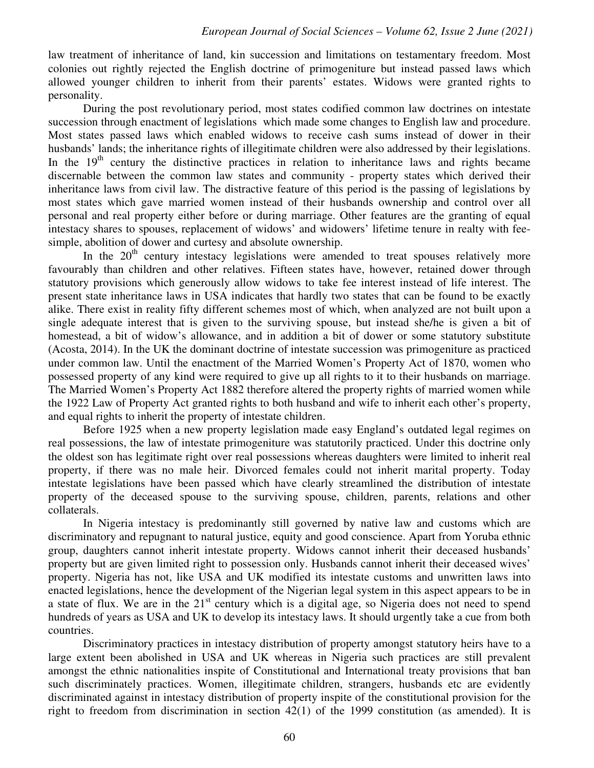law treatment of inheritance of land, kin succession and limitations on testamentary freedom. Most colonies out rightly rejected the English doctrine of primogeniture but instead passed laws which allowed younger children to inherit from their parents' estates. Widows were granted rights to personality.

During the post revolutionary period, most states codified common law doctrines on intestate succession through enactment of legislations which made some changes to English law and procedure. Most states passed laws which enabled widows to receive cash sums instead of dower in their husbands' lands; the inheritance rights of illegitimate children were also addressed by their legislations. In the  $19<sup>th</sup>$  century the distinctive practices in relation to inheritance laws and rights became discernable between the common law states and community - property states which derived their inheritance laws from civil law. The distractive feature of this period is the passing of legislations by most states which gave married women instead of their husbands ownership and control over all personal and real property either before or during marriage. Other features are the granting of equal intestacy shares to spouses, replacement of widows' and widowers' lifetime tenure in realty with feesimple, abolition of dower and curtesy and absolute ownership.

In the  $20<sup>th</sup>$  century intestacy legislations were amended to treat spouses relatively more favourably than children and other relatives. Fifteen states have, however, retained dower through statutory provisions which generously allow widows to take fee interest instead of life interest. The present state inheritance laws in USA indicates that hardly two states that can be found to be exactly alike. There exist in reality fifty different schemes most of which, when analyzed are not built upon a single adequate interest that is given to the surviving spouse, but instead she/he is given a bit of homestead, a bit of widow's allowance, and in addition a bit of dower or some statutory substitute (Acosta, 2014). In the UK the dominant doctrine of intestate succession was primogeniture as practiced under common law. Until the enactment of the Married Women's Property Act of 1870, women who possessed property of any kind were required to give up all rights to it to their husbands on marriage. The Married Women's Property Act 1882 therefore altered the property rights of married women while the 1922 Law of Property Act granted rights to both husband and wife to inherit each other's property, and equal rights to inherit the property of intestate children.

Before 1925 when a new property legislation made easy England's outdated legal regimes on real possessions, the law of intestate primogeniture was statutorily practiced. Under this doctrine only the oldest son has legitimate right over real possessions whereas daughters were limited to inherit real property, if there was no male heir. Divorced females could not inherit marital property. Today intestate legislations have been passed which have clearly streamlined the distribution of intestate property of the deceased spouse to the surviving spouse, children, parents, relations and other collaterals.

In Nigeria intestacy is predominantly still governed by native law and customs which are discriminatory and repugnant to natural justice, equity and good conscience. Apart from Yoruba ethnic group, daughters cannot inherit intestate property. Widows cannot inherit their deceased husbands' property but are given limited right to possession only. Husbands cannot inherit their deceased wives' property. Nigeria has not, like USA and UK modified its intestate customs and unwritten laws into enacted legislations, hence the development of the Nigerian legal system in this aspect appears to be in a state of flux. We are in the 21<sup>st</sup> century which is a digital age, so Nigeria does not need to spend hundreds of years as USA and UK to develop its intestacy laws. It should urgently take a cue from both countries.

Discriminatory practices in intestacy distribution of property amongst statutory heirs have to a large extent been abolished in USA and UK whereas in Nigeria such practices are still prevalent amongst the ethnic nationalities inspite of Constitutional and International treaty provisions that ban such discriminately practices. Women, illegitimate children, strangers, husbands etc are evidently discriminated against in intestacy distribution of property inspite of the constitutional provision for the right to freedom from discrimination in section 42(1) of the 1999 constitution (as amended). It is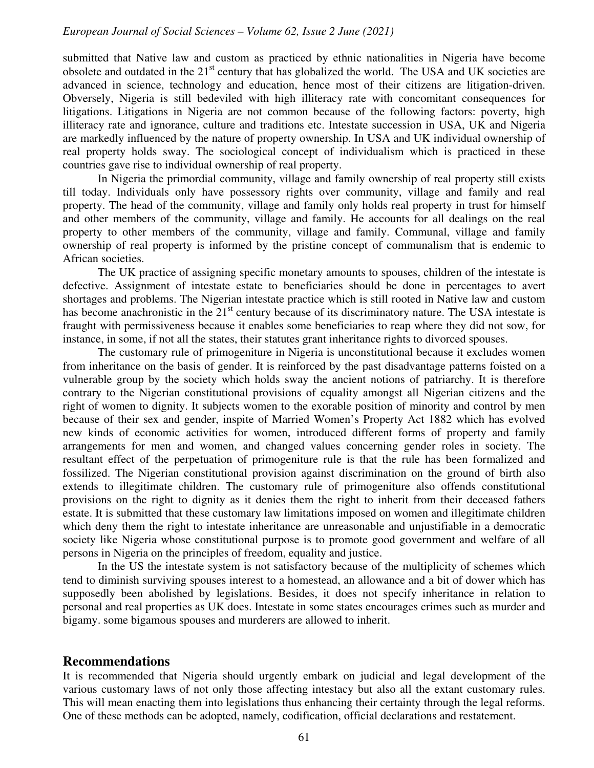submitted that Native law and custom as practiced by ethnic nationalities in Nigeria have become obsolete and outdated in the 21<sup>st</sup> century that has globalized the world. The USA and UK societies are advanced in science, technology and education, hence most of their citizens are litigation-driven. Obversely, Nigeria is still bedeviled with high illiteracy rate with concomitant consequences for litigations. Litigations in Nigeria are not common because of the following factors: poverty, high illiteracy rate and ignorance, culture and traditions etc. Intestate succession in USA, UK and Nigeria are markedly influenced by the nature of property ownership. In USA and UK individual ownership of real property holds sway. The sociological concept of individualism which is practiced in these countries gave rise to individual ownership of real property.

In Nigeria the primordial community, village and family ownership of real property still exists till today. Individuals only have possessory rights over community, village and family and real property. The head of the community, village and family only holds real property in trust for himself and other members of the community, village and family. He accounts for all dealings on the real property to other members of the community, village and family. Communal, village and family ownership of real property is informed by the pristine concept of communalism that is endemic to African societies.

The UK practice of assigning specific monetary amounts to spouses, children of the intestate is defective. Assignment of intestate estate to beneficiaries should be done in percentages to avert shortages and problems. The Nigerian intestate practice which is still rooted in Native law and custom has become anachronistic in the 21<sup>st</sup> century because of its discriminatory nature. The USA intestate is fraught with permissiveness because it enables some beneficiaries to reap where they did not sow, for instance, in some, if not all the states, their statutes grant inheritance rights to divorced spouses.

The customary rule of primogeniture in Nigeria is unconstitutional because it excludes women from inheritance on the basis of gender. It is reinforced by the past disadvantage patterns foisted on a vulnerable group by the society which holds sway the ancient notions of patriarchy. It is therefore contrary to the Nigerian constitutional provisions of equality amongst all Nigerian citizens and the right of women to dignity. It subjects women to the exorable position of minority and control by men because of their sex and gender, inspite of Married Women's Property Act 1882 which has evolved new kinds of economic activities for women, introduced different forms of property and family arrangements for men and women, and changed values concerning gender roles in society. The resultant effect of the perpetuation of primogeniture rule is that the rule has been formalized and fossilized. The Nigerian constitutional provision against discrimination on the ground of birth also extends to illegitimate children. The customary rule of primogeniture also offends constitutional provisions on the right to dignity as it denies them the right to inherit from their deceased fathers estate. It is submitted that these customary law limitations imposed on women and illegitimate children which deny them the right to intestate inheritance are unreasonable and unjustifiable in a democratic society like Nigeria whose constitutional purpose is to promote good government and welfare of all persons in Nigeria on the principles of freedom, equality and justice.

In the US the intestate system is not satisfactory because of the multiplicity of schemes which tend to diminish surviving spouses interest to a homestead, an allowance and a bit of dower which has supposedly been abolished by legislations. Besides, it does not specify inheritance in relation to personal and real properties as UK does. Intestate in some states encourages crimes such as murder and bigamy. some bigamous spouses and murderers are allowed to inherit.

#### **Recommendations**

It is recommended that Nigeria should urgently embark on judicial and legal development of the various customary laws of not only those affecting intestacy but also all the extant customary rules. This will mean enacting them into legislations thus enhancing their certainty through the legal reforms. One of these methods can be adopted, namely, codification, official declarations and restatement.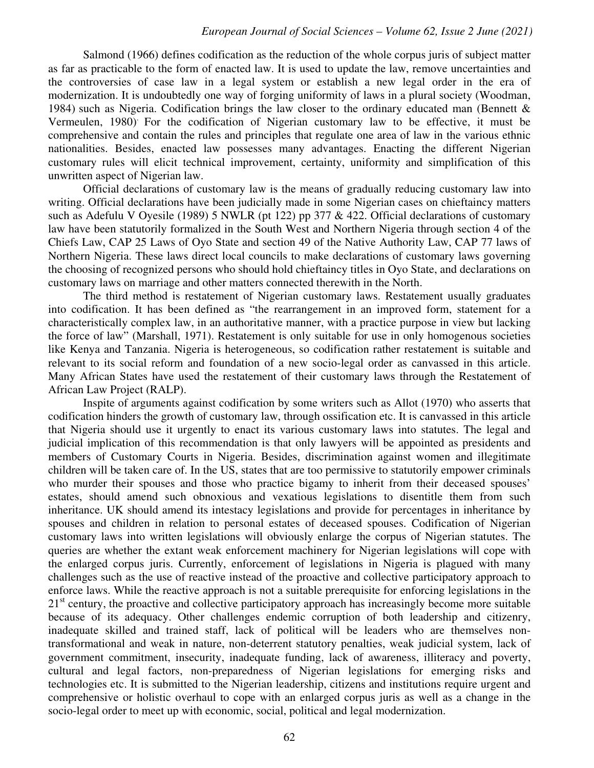Salmond (1966) defines codification as the reduction of the whole corpus juris of subject matter as far as practicable to the form of enacted law. It is used to update the law, remove uncertainties and the controversies of case law in a legal system or establish a new legal order in the era of modernization. It is undoubtedly one way of forging uniformity of laws in a plural society (Woodman, 1984) such as Nigeria. Codification brings the law closer to the ordinary educated man (Bennett & Vermeulen, 1980). For the codification of Nigerian customary law to be effective, it must be comprehensive and contain the rules and principles that regulate one area of law in the various ethnic nationalities. Besides, enacted law possesses many advantages. Enacting the different Nigerian customary rules will elicit technical improvement, certainty, uniformity and simplification of this unwritten aspect of Nigerian law.

Official declarations of customary law is the means of gradually reducing customary law into writing. Official declarations have been judicially made in some Nigerian cases on chieftaincy matters such as Adefulu V Oyesile (1989) 5 NWLR (pt 122) pp 377 & 422. Official declarations of customary law have been statutorily formalized in the South West and Northern Nigeria through section 4 of the Chiefs Law, CAP 25 Laws of Oyo State and section 49 of the Native Authority Law, CAP 77 laws of Northern Nigeria. These laws direct local councils to make declarations of customary laws governing the choosing of recognized persons who should hold chieftaincy titles in Oyo State, and declarations on customary laws on marriage and other matters connected therewith in the North.

The third method is restatement of Nigerian customary laws. Restatement usually graduates into codification. It has been defined as "the rearrangement in an improved form, statement for a characteristically complex law, in an authoritative manner, with a practice purpose in view but lacking the force of law" (Marshall, 1971). Restatement is only suitable for use in only homogenous societies like Kenya and Tanzania. Nigeria is heterogeneous, so codification rather restatement is suitable and relevant to its social reform and foundation of a new socio-legal order as canvassed in this article. Many African States have used the restatement of their customary laws through the Restatement of African Law Project (RALP).

Inspite of arguments against codification by some writers such as Allot (1970) who asserts that codification hinders the growth of customary law, through ossification etc. It is canvassed in this article that Nigeria should use it urgently to enact its various customary laws into statutes. The legal and judicial implication of this recommendation is that only lawyers will be appointed as presidents and members of Customary Courts in Nigeria. Besides, discrimination against women and illegitimate children will be taken care of. In the US, states that are too permissive to statutorily empower criminals who murder their spouses and those who practice bigamy to inherit from their deceased spouses' estates, should amend such obnoxious and vexatious legislations to disentitle them from such inheritance. UK should amend its intestacy legislations and provide for percentages in inheritance by spouses and children in relation to personal estates of deceased spouses. Codification of Nigerian customary laws into written legislations will obviously enlarge the corpus of Nigerian statutes. The queries are whether the extant weak enforcement machinery for Nigerian legislations will cope with the enlarged corpus juris. Currently, enforcement of legislations in Nigeria is plagued with many challenges such as the use of reactive instead of the proactive and collective participatory approach to enforce laws. While the reactive approach is not a suitable prerequisite for enforcing legislations in the 21<sup>st</sup> century, the proactive and collective participatory approach has increasingly become more suitable because of its adequacy. Other challenges endemic corruption of both leadership and citizenry, inadequate skilled and trained staff, lack of political will be leaders who are themselves nontransformational and weak in nature, non-deterrent statutory penalties, weak judicial system, lack of government commitment, insecurity, inadequate funding, lack of awareness, illiteracy and poverty, cultural and legal factors, non-preparedness of Nigerian legislations for emerging risks and technologies etc. It is submitted to the Nigerian leadership, citizens and institutions require urgent and comprehensive or holistic overhaul to cope with an enlarged corpus juris as well as a change in the socio-legal order to meet up with economic, social, political and legal modernization.